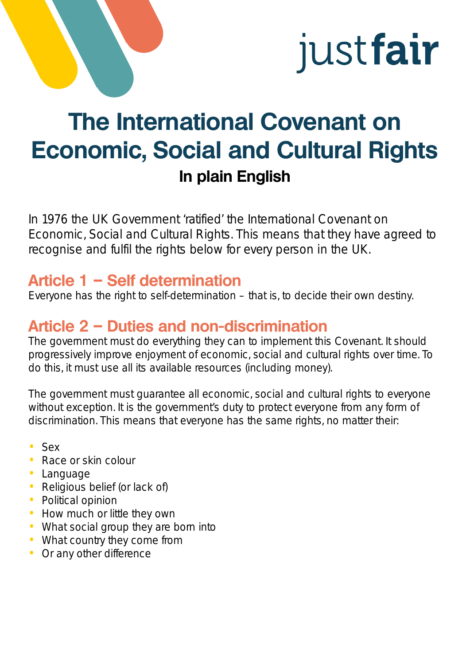

# **The International Covenant on Economic, Social and Cultural Rights In plain English**

In 1976 the UK Government 'ratified' the International Covenant on Economic, Social and Cultural Rights. This means that they have agreed to recognise and fulfil the rights below for every person in the UK.

#### **Article 1 – Self determination**

Everyone has the right to self-determination – that is, to decide their own destiny.

# **Article 2 – Duties and non-discrimination**

The government must do everything they can to implement this Covenant. It should progressively improve enjoyment of economic, social and cultural rights over time. To do this, it must use all its available resources (including money).

The government must guarantee all economic, social and cultural rights to everyone without exception. It is the government's duty to protect everyone from any form of discrimination. This means that everyone has the same rights, no matter their:

- Sex
- Race or skin colour
- Language
- Religious belief (or lack of)
- Political opinion
- How much or little they own
- What social group they are born into
- What country they come from
- Or any other difference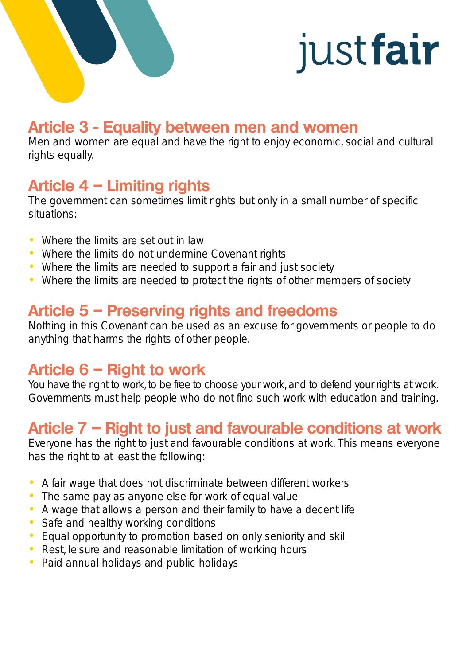

#### **Article 3 - Equality between men and women**

Men and women are equal and have the right to enjoy economic, social and cultural rights equally.

# **Article 4 – Limiting rights**

The government can sometimes limit rights but only in a small number of specific situations:

- Where the limits are set out in law
- Where the limits do not undermine Covenant rights
- Where the limits are needed to support a fair and just society
- Where the limits are needed to protect the rights of other members of society

## **Article 5 – Preserving rights and freedoms**

Nothing in this Covenant can be used as an excuse for governments or people to do anything that harms the rights of other people.

#### **Article 6 – Right to work**

You have the right to work, to be free to choose your work, and to defend your rights at work. Governments must help people who do not find such work with education and training.

### **Article 7 – Right to just and favourable conditions at work**

Everyone has the right to just and favourable conditions at work. This means everyone has the right to at least the following:

- A fair wage that does not discriminate between different workers
- The same pay as anyone else for work of equal value
- A wage that allows a person and their family to have a decent life
- Safe and healthy working conditions
- Equal opportunity to promotion based on only seniority and skill
- Rest, leisure and reasonable limitation of working hours
- Paid annual holidays and public holidays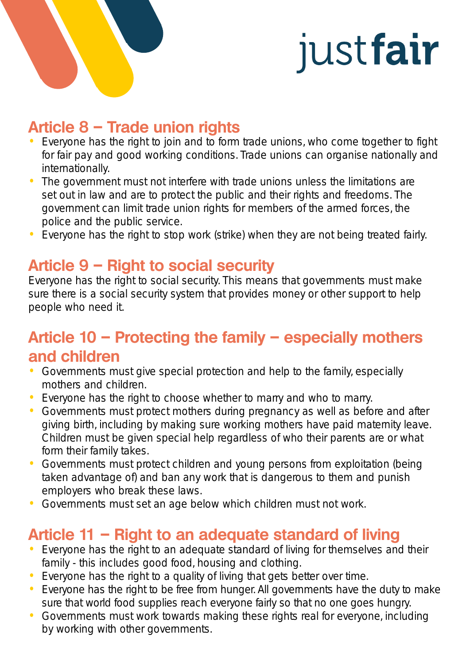

### **Article 8 – Trade union rights**

- Everyone has the right to join and to form trade unions, who come together to fight for fair pay and good working conditions. Trade unions can organise nationally and internationally.
- The government must not interfere with trade unions unless the limitations are set out in law and are to protect the public and their rights and freedoms. The government can limit trade union rights for members of the armed forces, the police and the public service.
- Everyone has the right to stop work (strike) when they are not being treated fairly.

### **Article 9 – Right to social security**

Everyone has the right to social security. This means that governments must make sure there is a social security system that provides money or other support to help people who need it.

# **Article 10 – Protecting the family – especially mothers and children**

- Governments must give special protection and help to the family, especially mothers and children.
- Everyone has the right to choose whether to marry and who to marry.
- Governments must protect mothers during pregnancy as well as before and after giving birth, including by making sure working mothers have paid maternity leave. Children must be given special help regardless of who their parents are or what form their family takes.
- Governments must protect children and young persons from exploitation (being taken advantage of) and ban any work that is dangerous to them and punish employers who break these laws.
- Governments must set an age below which children must not work.

# **Article 11 – Right to an adequate standard of living**

- Everyone has the right to an adequate standard of living for themselves and their family - this includes good food, housing and clothing.
- Everyone has the right to a quality of living that gets better over time.
- Everyone has the right to be free from hunger. All governments have the duty to make sure that world food supplies reach everyone fairly so that no one goes hungry.
- Governments must work towards making these rights real for everyone, including by working with other governments.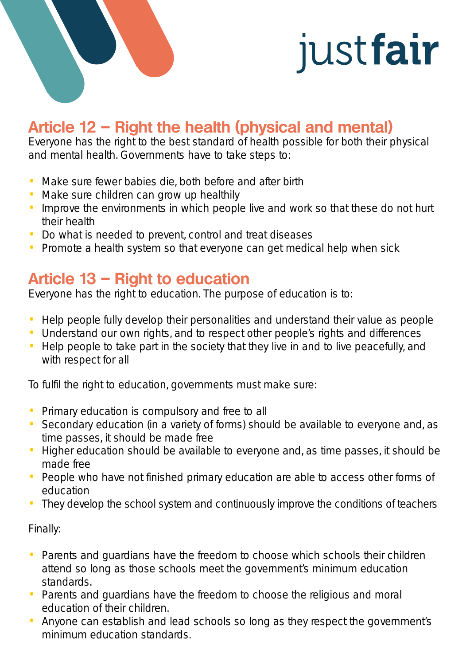

# **Article 12 – Right the health (physical and mental)**

Everyone has the right to the best standard of health possible for both their physical and mental health. Governments have to take steps to:

- Make sure fewer babies die, both before and after birth
- Make sure children can grow up healthily
- Improve the environments in which people live and work so that these do not hurt their health
- Do what is needed to prevent, control and treat diseases
- Promote a health system so that everyone can get medical help when sick

#### **Article 13 – Right to education**

Everyone has the right to education. The purpose of education is to:

- Help people fully develop their personalities and understand their value as people
- Understand our own rights, and to respect other people's rights and differences
- Help people to take part in the society that they live in and to live peacefully, and with respect for all

To fulfil the right to education, governments must make sure:

- Primary education is compulsory and free to all
- Secondary education (in a variety of forms) should be available to everyone and, as time passes, it should be made free
- Higher education should be available to everyone and, as time passes, it should be made free
- People who have not finished primary education are able to access other forms of education
- They develop the school system and continuously improve the conditions of teachers

Finally:

- Parents and quardians have the freedom to choose which schools their children attend so long as those schools meet the government's minimum education standards.
- Parents and guardians have the freedom to choose the religious and moral education of their children.
- Anyone can establish and lead schools so long as they respect the government's minimum education standards.